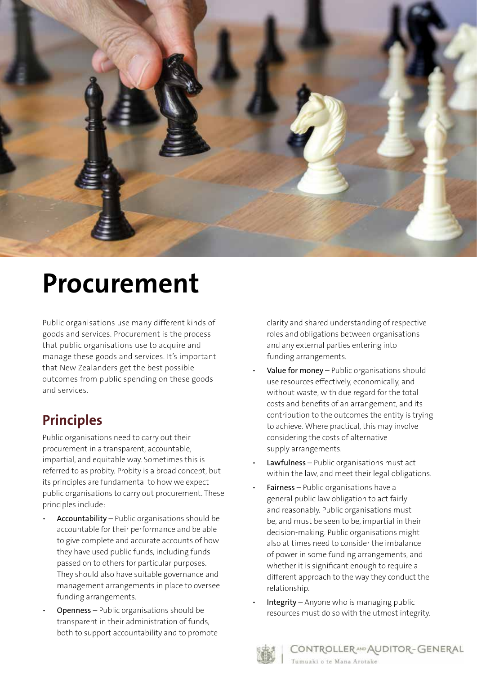

# **Procurement**

Public organisations use many different kinds of goods and services. Procurement is the process that public organisations use to acquire and manage these goods and services. It's important that New Zealanders get the best possible outcomes from public spending on these goods and services.

## **Principles**

Public organisations need to carry out their procurement in a transparent, accountable, impartial, and equitable way. Sometimes this is referred to as probity. Probity is a broad concept, but its principles are fundamental to how we expect public organisations to carry out procurement. These principles include:

- Accountability Public organisations should be accountable for their performance and be able to give complete and accurate accounts of how they have used public funds, including funds passed on to others for particular purposes. They should also have suitable governance and management arrangements in place to oversee funding arrangements.
- Openness Public organisations should be transparent in their administration of funds, both to support accountability and to promote

clarity and shared understanding of respective roles and obligations between organisations and any external parties entering into funding arrangements.

- Value for money Public organisations should use resources effectively, economically, and without waste, with due regard for the total costs and benefits of an arrangement, and its contribution to the outcomes the entity is trying to achieve. Where practical, this may involve considering the costs of alternative supply arrangements.
- Lawfulness Public organisations must act within the law, and meet their legal obligations.
- Fairness Public organisations have a general public law obligation to act fairly and reasonably. Public organisations must be, and must be seen to be, impartial in their decision-making. Public organisations might also at times need to consider the imbalance of power in some funding arrangements, and whether it is significant enough to require a different approach to the way they conduct the relationship.
- Integrity Anyone who is managing public resources must do so with the utmost integrity.